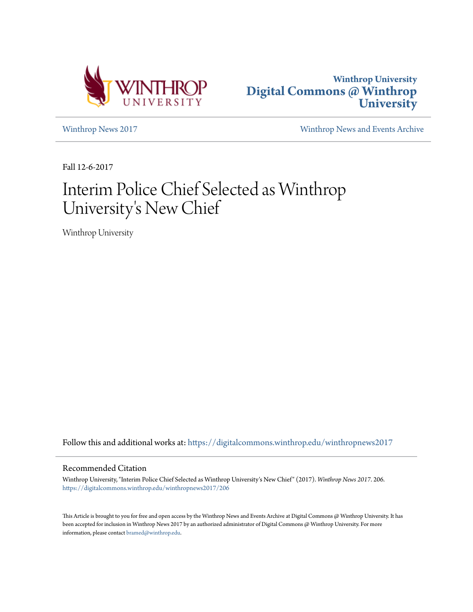



[Winthrop News 2017](https://digitalcommons.winthrop.edu/winthropnews2017?utm_source=digitalcommons.winthrop.edu%2Fwinthropnews2017%2F206&utm_medium=PDF&utm_campaign=PDFCoverPages) [Winthrop News and Events Archive](https://digitalcommons.winthrop.edu/winthropnewsarchives?utm_source=digitalcommons.winthrop.edu%2Fwinthropnews2017%2F206&utm_medium=PDF&utm_campaign=PDFCoverPages)

Fall 12-6-2017

## Interim Police Chief Selected as Winthrop University 's New Chief

Winthrop University

Follow this and additional works at: [https://digitalcommons.winthrop.edu/winthropnews2017](https://digitalcommons.winthrop.edu/winthropnews2017?utm_source=digitalcommons.winthrop.edu%2Fwinthropnews2017%2F206&utm_medium=PDF&utm_campaign=PDFCoverPages)

## Recommended Citation

Winthrop University, "Interim Police Chief Selected as Winthrop University's New Chief" (2017). *Winthrop News 2017*. 206. [https://digitalcommons.winthrop.edu/winthropnews2017/206](https://digitalcommons.winthrop.edu/winthropnews2017/206?utm_source=digitalcommons.winthrop.edu%2Fwinthropnews2017%2F206&utm_medium=PDF&utm_campaign=PDFCoverPages)

This Article is brought to you for free and open access by the Winthrop News and Events Archive at Digital Commons @ Winthrop University. It has been accepted for inclusion in Winthrop News 2017 by an authorized administrator of Digital Commons @ Winthrop University. For more information, please contact [bramed@winthrop.edu](mailto:bramed@winthrop.edu).